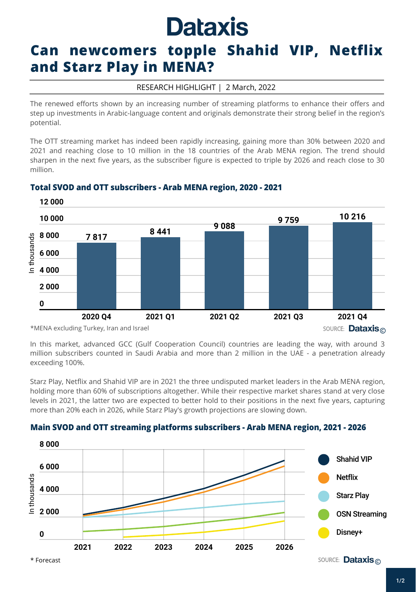# **Dataxis**

# **Can newcomers topple Shahid VIP, Netflix and Starz Play in MENA?**

#### RESEARCH HIGHLIGHT | 2 March, 2022

The renewed efforts shown by an increasing number of streaming platforms to enhance their offers and step up investments in Arabic-language content and originals demonstrate their strong belief in the region's potential.

The OTT streaming market has indeed been rapidly increasing, gaining more than 30% between 2020 and 2021 and reaching close to 10 million in the 18 countries of the Arab MENA region. The trend should sharpen in the next five years, as the subscriber figure is expected to triple by 2026 and reach close to 30 million.



## **Total SVOD and OTT subscribers - Arab MENA region, 2020 - 2021**

In this market, advanced GCC (Gulf Cooperation Council) countries are leading the way, with around 3 million subscribers counted in Saudi Arabia and more than 2 million in the UAE - a penetration already exceeding 100%.

Starz Play, Netflix and Shahid VIP are in 2021 the three undisputed market leaders in the Arab MENA region, holding more than 60% of subscriptions altogether. While their respective market shares stand at very close levels in 2021, the latter two are expected to better hold to their positions in the next five years, capturing more than 20% each in 2026, while Starz Play's growth projections are slowing down.

## **Main SVOD and OTT streaming platforms subscribers -Arab MENA region, 2021 - 2026**